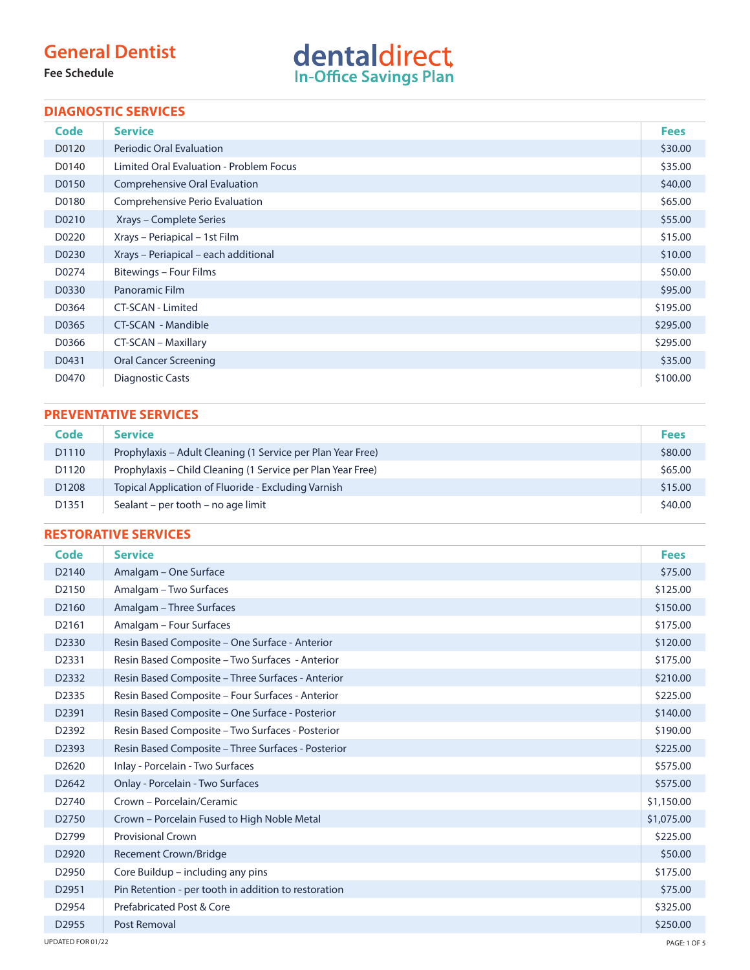## **General Dentist**

**Fee Schedule**



#### **DIAGNOSTIC SERVICES**

| Code  | <b>Service</b>                          | <b>Fees</b> |
|-------|-----------------------------------------|-------------|
| D0120 | <b>Periodic Oral Evaluation</b>         | \$30.00     |
| D0140 | Limited Oral Evaluation - Problem Focus | \$35.00     |
| D0150 | Comprehensive Oral Evaluation           | \$40.00     |
| D0180 | Comprehensive Perio Evaluation          | \$65.00     |
| D0210 | Xrays – Complete Series                 | \$55.00     |
| D0220 | Xrays - Periapical - 1st Film           | \$15.00     |
| D0230 | Xrays - Periapical - each additional    | \$10.00     |
| D0274 | Bitewings - Four Films                  | \$50.00     |
| D0330 | Panoramic Film                          | \$95.00     |
| D0364 | CT-SCAN - Limited                       | \$195.00    |
| D0365 | CT-SCAN - Mandible                      | \$295.00    |
| D0366 | CT-SCAN - Maxillary                     | \$295.00    |
| D0431 | <b>Oral Cancer Screening</b>            | \$35.00     |
| D0470 | <b>Diagnostic Casts</b>                 | \$100.00    |

#### **PREVENTATIVE SERVICES**

| Code              | <b>Service</b>                                              | <b>Fees</b> |
|-------------------|-------------------------------------------------------------|-------------|
| D <sub>1110</sub> | Prophylaxis – Adult Cleaning (1 Service per Plan Year Free) | \$80.00     |
| D <sub>1120</sub> | Prophylaxis – Child Cleaning (1 Service per Plan Year Free) | \$65.00     |
| D <sub>1208</sub> | Topical Application of Fluoride - Excluding Varnish         | \$15.00     |
| D1351             | Sealant – per tooth – no age limit                          | \$40.00     |

### **RESTORATIVE SERVICES**

| Code              | <b>Service</b>                                       | <b>Fees</b> |
|-------------------|------------------------------------------------------|-------------|
| D <sub>2140</sub> | Amalgam – One Surface                                | \$75.00     |
| D2150             | Amalgam - Two Surfaces                               | \$125.00    |
| D <sub>2160</sub> | Amalgam - Three Surfaces                             | \$150.00    |
| D <sub>2161</sub> | Amalgam - Four Surfaces                              | \$175.00    |
| D <sub>2330</sub> | Resin Based Composite – One Surface - Anterior       | \$120.00    |
| D2331             | Resin Based Composite - Two Surfaces - Anterior      | \$175.00    |
| D2332             | Resin Based Composite - Three Surfaces - Anterior    | \$210.00    |
| D2335             | Resin Based Composite – Four Surfaces - Anterior     | \$225.00    |
| D2391             | Resin Based Composite - One Surface - Posterior      | \$140.00    |
| D2392             | Resin Based Composite – Two Surfaces - Posterior     | \$190.00    |
| D2393             | Resin Based Composite – Three Surfaces - Posterior   | \$225.00    |
| D <sub>2620</sub> | Inlay - Porcelain - Two Surfaces                     | \$575.00    |
| D <sub>2642</sub> | Onlay - Porcelain - Two Surfaces                     | \$575.00    |
| D2740             | Crown - Porcelain/Ceramic                            | \$1,150.00  |
| D <sub>2750</sub> | Crown - Porcelain Fused to High Noble Metal          | \$1,075.00  |
| D <sub>2799</sub> | <b>Provisional Crown</b>                             | \$225.00    |
| D <sub>2920</sub> | <b>Recement Crown/Bridge</b>                         | \$50.00     |
| D <sub>2950</sub> | Core Buildup - including any pins                    | \$175.00    |
| D <sub>2951</sub> | Pin Retention - per tooth in addition to restoration | \$75.00     |
| D2954             | Prefabricated Post & Core                            | \$325.00    |
| D2955             | Post Removal                                         | \$250.00    |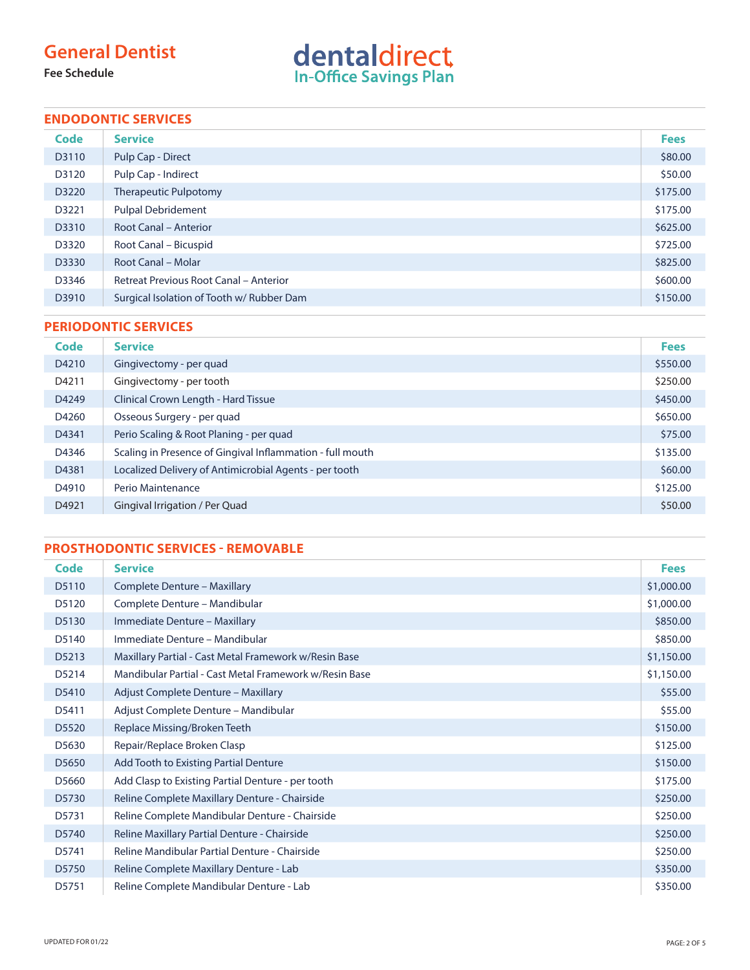## **General Dentist**

**Fee Schedule**

# dentaldirect

### **ENDODONTIC SERVICES**

| <b>Code</b> | <b>Service</b>                                | <b>Fees</b> |
|-------------|-----------------------------------------------|-------------|
| D3110       | Pulp Cap - Direct                             | \$80.00     |
| D3120       | Pulp Cap - Indirect                           | \$50.00     |
| D3220       | <b>Therapeutic Pulpotomy</b>                  | \$175.00    |
| D3221       | <b>Pulpal Debridement</b>                     | \$175.00    |
| D3310       | <b>Root Canal - Anterior</b>                  | \$625.00    |
| D3320       | Root Canal - Bicuspid                         | \$725.00    |
| D3330       | Root Canal - Molar                            | \$825.00    |
| D3346       | <b>Retreat Previous Root Canal - Anterior</b> | \$600.00    |
| D3910       | Surgical Isolation of Tooth w/ Rubber Dam     | \$150.00    |

#### **PERIODONTIC SERVICES**

| Code  | <b>Service</b>                                            | <b>Fees</b> |
|-------|-----------------------------------------------------------|-------------|
| D4210 | Gingivectomy - per quad                                   | \$550.00    |
| D4211 | Gingivectomy - per tooth                                  | \$250.00    |
| D4249 | Clinical Crown Length - Hard Tissue                       | \$450.00    |
| D4260 | Osseous Surgery - per quad                                | \$650.00    |
| D4341 | Perio Scaling & Root Planing - per quad                   | \$75.00     |
| D4346 | Scaling in Presence of Gingival Inflammation - full mouth | \$135.00    |
| D4381 | Localized Delivery of Antimicrobial Agents - per tooth    | \$60.00     |
| D4910 | Perio Maintenance                                         | \$125.00    |
| D4921 | Gingival Irrigation / Per Quad                            | \$50.00     |

### **PROSTHODONTIC SERVICES - REMOVABLE**

| Code  | <b>Service</b>                                         | <b>Fees</b> |
|-------|--------------------------------------------------------|-------------|
| D5110 | Complete Denture - Maxillary                           | \$1,000.00  |
| D5120 | Complete Denture - Mandibular                          | \$1,000.00  |
| D5130 | Immediate Denture - Maxillary                          | \$850.00    |
| D5140 | Immediate Denture - Mandibular                         | \$850.00    |
| D5213 | Maxillary Partial - Cast Metal Framework w/Resin Base  | \$1,150.00  |
| D5214 | Mandibular Partial - Cast Metal Framework w/Resin Base | \$1,150.00  |
| D5410 | Adjust Complete Denture - Maxillary                    | \$55.00     |
| D5411 | Adjust Complete Denture - Mandibular                   | \$55.00     |
| D5520 | Replace Missing/Broken Teeth                           | \$150.00    |
| D5630 | Repair/Replace Broken Clasp                            | \$125.00    |
| D5650 | Add Tooth to Existing Partial Denture                  | \$150.00    |
| D5660 | Add Clasp to Existing Partial Denture - per tooth      | \$175.00    |
| D5730 | Reline Complete Maxillary Denture - Chairside          | \$250.00    |
| D5731 | Reline Complete Mandibular Denture - Chairside         | \$250.00    |
| D5740 | Reline Maxillary Partial Denture - Chairside           | \$250.00    |
| D5741 | Reline Mandibular Partial Denture - Chairside          | \$250.00    |
| D5750 | Reline Complete Maxillary Denture - Lab                | \$350.00    |
| D5751 | Reline Complete Mandibular Denture - Lab               | \$350.00    |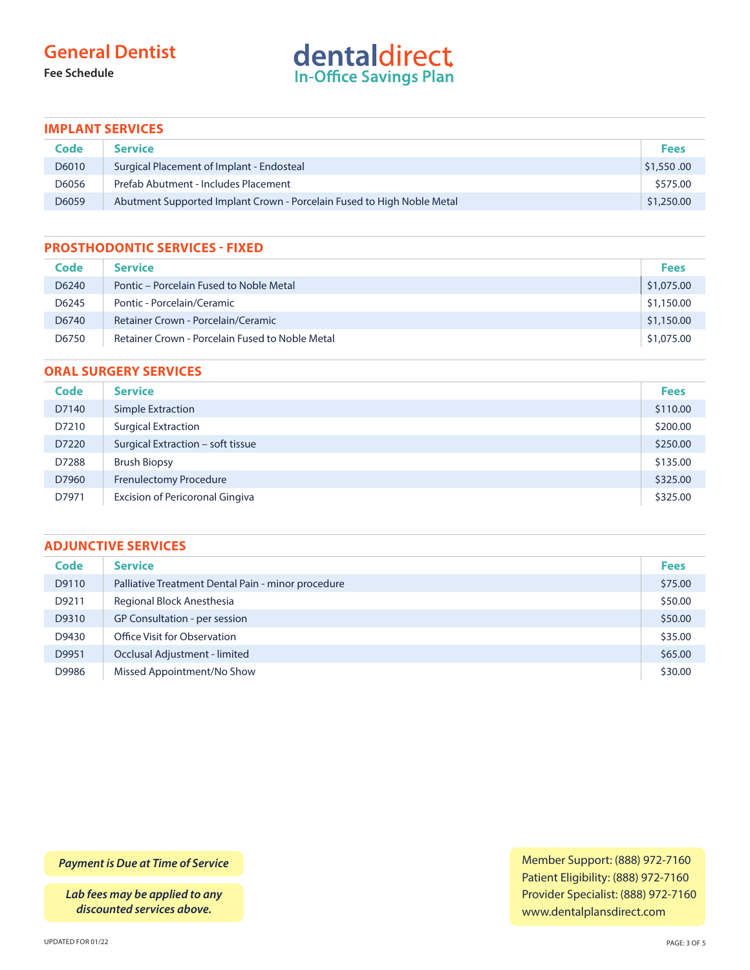## **General Dentist**

**Fee Schedule**

# dentaldirect

#### **IMPLANT SERVICES**

| Code  | <b>Service</b>                                                         | <b>Fees</b> |
|-------|------------------------------------------------------------------------|-------------|
| D6010 | Surgical Placement of Implant - Endosteal                              | \$1,550.00  |
| D6056 | Prefab Abutment - Includes Placement                                   | \$575.00    |
| D6059 | Abutment Supported Implant Crown - Porcelain Fused to High Noble Metal | \$1,250.00  |

#### **PROSTHODONTIC SERVICES - FIXED**

| Code  | <b>Service</b>                                  | <b>Fees</b> |
|-------|-------------------------------------------------|-------------|
| D6240 | Pontic – Porcelain Fused to Noble Metal         | \$1,075.00  |
| D6245 | Pontic - Porcelain/Ceramic                      | \$1,150.00  |
| D6740 | Retainer Crown - Porcelain/Ceramic              | \$1,150.00  |
| D6750 | Retainer Crown - Porcelain Fused to Noble Metal | \$1,075.00  |

#### **ORAL SURGERY SERVICES**

| <b>Code</b> | <b>Service</b>                         | <b>Fees</b> |
|-------------|----------------------------------------|-------------|
| D7140       | Simple Extraction                      | \$110.00    |
| D7210       | <b>Surgical Extraction</b>             | \$200.00    |
| D7220       | Surgical Extraction - soft tissue      | \$250.00    |
| D7288       | <b>Brush Biopsy</b>                    | \$135.00    |
| D7960       | <b>Frenulectomy Procedure</b>          | \$325.00    |
| D7971       | <b>Excision of Pericoronal Gingiva</b> | \$325.00    |

#### **ADJUNCTIVE SERVICES**

| <b>Code</b> | <b>Service</b>                                     | <b>Fees</b> |
|-------------|----------------------------------------------------|-------------|
| D9110       | Palliative Treatment Dental Pain - minor procedure | \$75.00     |
| D9211       | Regional Block Anesthesia                          | \$50.00     |
| D9310       | GP Consultation - per session                      | \$50.00     |
| D9430       | Office Visit for Observation                       | \$35.00     |
| D9951       | Occlusal Adjustment - limited                      | \$65.00     |
| D9986       | Missed Appointment/No Show                         | \$30.00     |

*Payment is Due at Time of Service*

*Lab fees may be applied to any discounted services above.*

Member Support: (888) 972-7160 Patient Eligibility: (888) 972-7160 Provider Specialist: (888) 972-7160 www.dentalplansdirect.com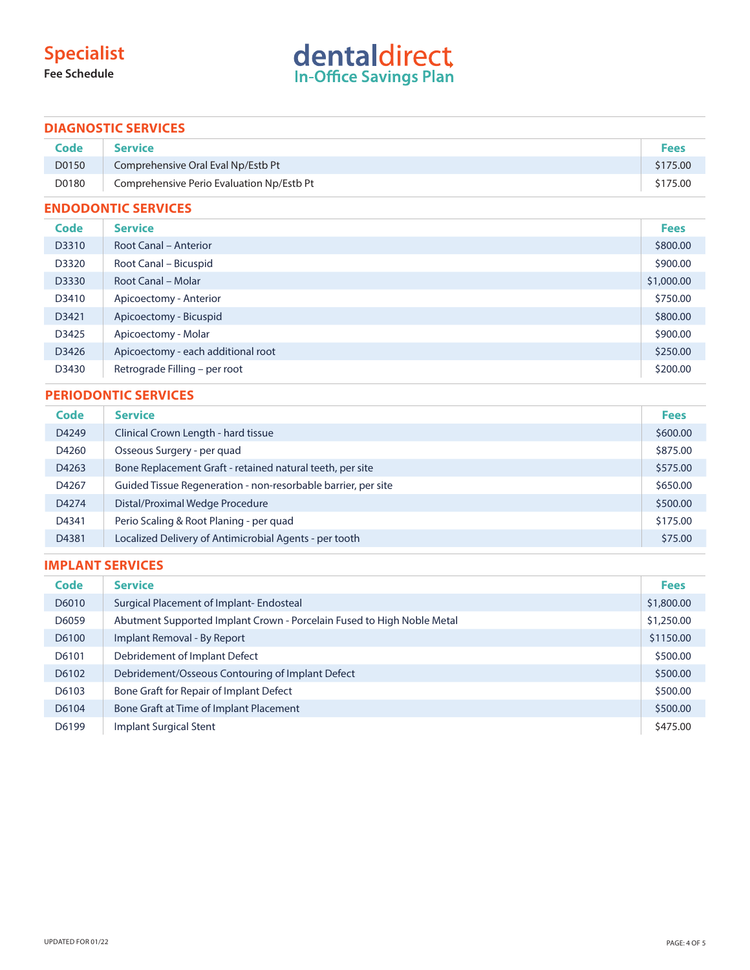# **Specialist**

**Fee Schedule**

# dentaldirect

#### **DIAGNOSTIC SERVICES**

| Code  | <b>Service</b>                            | <b>Fees</b> |
|-------|-------------------------------------------|-------------|
| D0150 | Comprehensive Oral Eval Np/Estb Pt        | \$175.00    |
| D0180 | Comprehensive Perio Evaluation Np/Estb Pt | \$175.00    |

#### **ENDODONTIC SERVICES**

| Code  | <b>Service</b>                     | <b>Fees</b> |
|-------|------------------------------------|-------------|
| D3310 | <b>Root Canal - Anterior</b>       | \$800.00    |
| D3320 | Root Canal – Bicuspid              | \$900.00    |
| D3330 | Root Canal - Molar                 | \$1,000.00  |
| D3410 | Apicoectomy - Anterior             | \$750.00    |
| D3421 | Apicoectomy - Bicuspid             | \$800.00    |
| D3425 | Apicoectomy - Molar                | \$900.00    |
| D3426 | Apicoectomy - each additional root | \$250.00    |
| D3430 | Retrograde Filling - per root      | \$200.00    |

#### **PERIODONTIC SERVICES**

| Code  | <b>Service</b>                                                | <b>Fees</b> |
|-------|---------------------------------------------------------------|-------------|
| D4249 | Clinical Crown Length - hard tissue                           | \$600.00    |
| D4260 | Osseous Surgery - per quad                                    | \$875.00    |
| D4263 | Bone Replacement Graft - retained natural teeth, per site     | \$575.00    |
| D4267 | Guided Tissue Regeneration - non-resorbable barrier, per site | \$650.00    |
| D4274 | Distal/Proximal Wedge Procedure                               | \$500.00    |
| D4341 | Perio Scaling & Root Planing - per quad                       | \$175.00    |
| D4381 | Localized Delivery of Antimicrobial Agents - per tooth        | \$75.00     |

#### **IMPLANT SERVICES**

| <b>Code</b> | <b>Service</b>                                                         | <b>Fees</b> |
|-------------|------------------------------------------------------------------------|-------------|
| D6010       | Surgical Placement of Implant-Endosteal                                | \$1,800.00  |
| D6059       | Abutment Supported Implant Crown - Porcelain Fused to High Noble Metal | \$1,250.00  |
| D6100       | Implant Removal - By Report                                            | \$1150.00   |
| D6101       | Debridement of Implant Defect                                          | \$500.00    |
| D6102       | Debridement/Osseous Contouring of Implant Defect                       | \$500.00    |
| D6103       | Bone Graft for Repair of Implant Defect                                | \$500.00    |
| D6104       | Bone Graft at Time of Implant Placement                                | \$500.00    |
| D6199       | Implant Surgical Stent                                                 | \$475.00    |